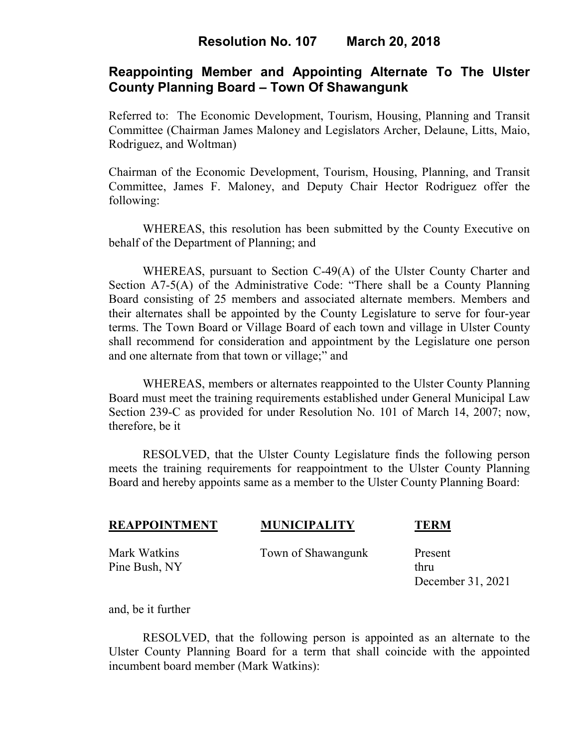# **Resolution No. 107 March 20, 2018**

## **Reappointing Member and Appointing Alternate To The Ulster County Planning Board – Town Of Shawangunk**

Referred to: The Economic Development, Tourism, Housing, Planning and Transit Committee (Chairman James Maloney and Legislators Archer, Delaune, Litts, Maio, Rodriguez, and Woltman)

Chairman of the Economic Development, Tourism, Housing, Planning, and Transit Committee, James F. Maloney, and Deputy Chair Hector Rodriguez offer the following:

WHEREAS, this resolution has been submitted by the County Executive on behalf of the Department of Planning; and

WHEREAS, pursuant to Section C-49(A) of the Ulster County Charter and Section A7-5(A) of the Administrative Code: "There shall be a County Planning Board consisting of 25 members and associated alternate members. Members and their alternates shall be appointed by the County Legislature to serve for four-year terms. The Town Board or Village Board of each town and village in Ulster County shall recommend for consideration and appointment by the Legislature one person and one alternate from that town or village;" and

WHEREAS, members or alternates reappointed to the Ulster County Planning Board must meet the training requirements established under General Municipal Law Section 239-C as provided for under Resolution No. 101 of March 14, 2007; now, therefore, be it

 RESOLVED, that the Ulster County Legislature finds the following person meets the training requirements for reappointment to the Ulster County Planning Board and hereby appoints same as a member to the Ulster County Planning Board:

| <b>REAPPOINTMENT</b> | <b>MUNICIPALITY</b> | <b>TERM</b> |
|----------------------|---------------------|-------------|
| Mark Watkins         | Town of Shawangunk  | Present     |
| Pine Bush, NY        |                     | thru        |

and, be it further

RESOLVED, that the following person is appointed as an alternate to the Ulster County Planning Board for a term that shall coincide with the appointed incumbent board member (Mark Watkins):

December 31, 2021